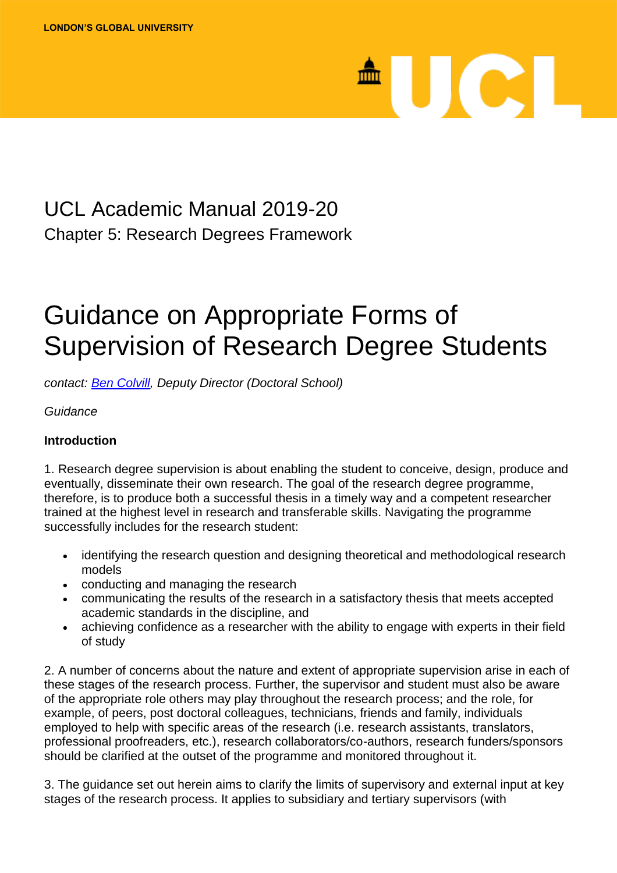# <sup>A</sup>UCL

### UCL Academic Manual 2019-20 Chapter 5: Research Degrees Framework

## Guidance on Appropriate Forms of Supervision of Research Degree Students

*contact: [Ben Colvill,](mailto:ben.colvill@ucl.ac.uk) Deputy Director (Doctoral School)*

*Guidance*

#### **Introduction**

1. Research degree supervision is about enabling the student to conceive, design, produce and eventually, disseminate their own research. The goal of the research degree programme, therefore, is to produce both a successful thesis in a timely way and a competent researcher trained at the highest level in research and transferable skills. Navigating the programme successfully includes for the research student:

- identifying the research question and designing theoretical and methodological research models
- conducting and managing the research
- communicating the results of the research in a satisfactory thesis that meets accepted academic standards in the discipline, and
- achieving confidence as a researcher with the ability to engage with experts in their field of study

2. A number of concerns about the nature and extent of appropriate supervision arise in each of these stages of the research process. Further, the supervisor and student must also be aware of the appropriate role others may play throughout the research process; and the role, for example, of peers, post doctoral colleagues, technicians, friends and family, individuals employed to help with specific areas of the research (i.e. research assistants, translators, professional proofreaders, etc.), research collaborators/co-authors, research funders/sponsors should be clarified at the outset of the programme and monitored throughout it.

3. The guidance set out herein aims to clarify the limits of supervisory and external input at key stages of the research process. It applies to subsidiary and tertiary supervisors (with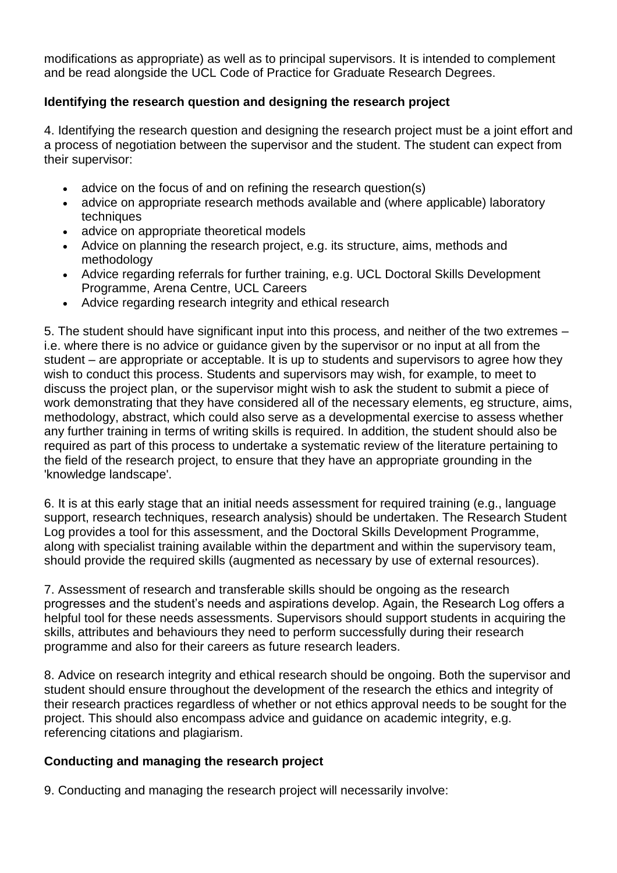modifications as appropriate) as well as to principal supervisors. It is intended to complement and be read alongside the UCL Code of Practice for Graduate Research Degrees.

#### **Identifying the research question and designing the research project**

4. Identifying the research question and designing the research project must be a joint effort and a process of negotiation between the supervisor and the student. The student can expect from their supervisor:

- advice on the focus of and on refining the research question(s)
- advice on appropriate research methods available and (where applicable) laboratory techniques
- advice on appropriate theoretical models
- Advice on planning the research project, e.g. its structure, aims, methods and methodology
- Advice regarding referrals for further training, e.g. UCL Doctoral Skills Development Programme, Arena Centre, UCL Careers
- Advice regarding research integrity and ethical research

5. The student should have significant input into this process, and neither of the two extremes – i.e. where there is no advice or guidance given by the supervisor or no input at all from the student – are appropriate or acceptable. It is up to students and supervisors to agree how they wish to conduct this process. Students and supervisors may wish, for example, to meet to discuss the project plan, or the supervisor might wish to ask the student to submit a piece of work demonstrating that they have considered all of the necessary elements, eg structure, aims, methodology, abstract, which could also serve as a developmental exercise to assess whether any further training in terms of writing skills is required. In addition, the student should also be required as part of this process to undertake a systematic review of the literature pertaining to the field of the research project, to ensure that they have an appropriate grounding in the 'knowledge landscape'.

6. It is at this early stage that an initial needs assessment for required training (e.g., language support, research techniques, research analysis) should be undertaken. The Research Student Log provides a tool for this assessment, and the Doctoral Skills Development Programme, along with specialist training available within the department and within the supervisory team, should provide the required skills (augmented as necessary by use of external resources).

7. Assessment of research and transferable skills should be ongoing as the research progresses and the student's needs and aspirations develop. Again, the Research Log offers a helpful tool for these needs assessments. Supervisors should support students in acquiring the skills, attributes and behaviours they need to perform successfully during their research programme and also for their careers as future research leaders.

8. Advice on research integrity and ethical research should be ongoing. Both the supervisor and student should ensure throughout the development of the research the ethics and integrity of their research practices regardless of whether or not ethics approval needs to be sought for the project. This should also encompass advice and guidance on academic integrity, e.g. referencing citations and plagiarism.

#### **Conducting and managing the research project**

9. Conducting and managing the research project will necessarily involve: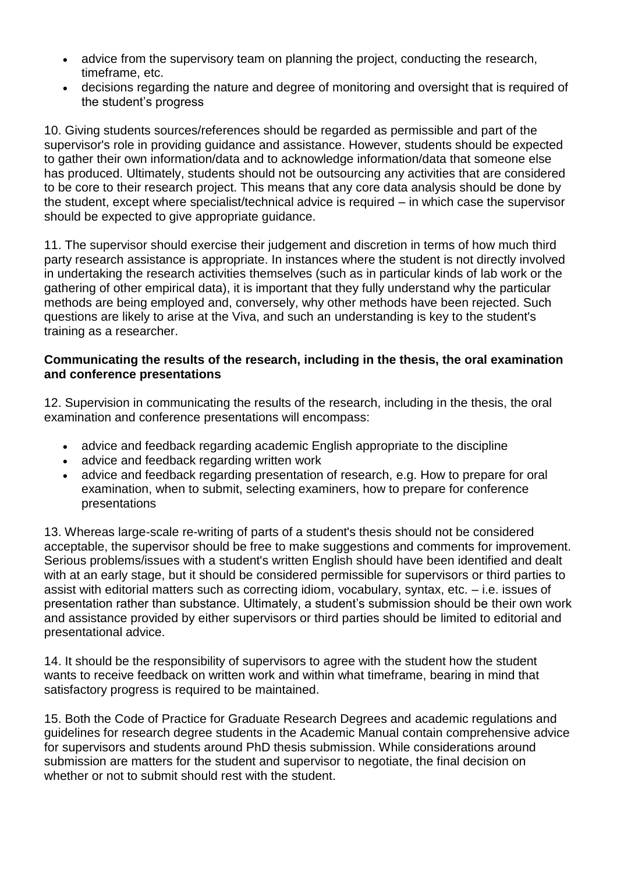- advice from the supervisory team on planning the project, conducting the research, timeframe, etc.
- decisions regarding the nature and degree of monitoring and oversight that is required of the student's progress

10. Giving students sources/references should be regarded as permissible and part of the supervisor's role in providing guidance and assistance. However, students should be expected to gather their own information/data and to acknowledge information/data that someone else has produced. Ultimately, students should not be outsourcing any activities that are considered to be core to their research project. This means that any core data analysis should be done by the student, except where specialist/technical advice is required – in which case the supervisor should be expected to give appropriate guidance.

11. The supervisor should exercise their judgement and discretion in terms of how much third party research assistance is appropriate. In instances where the student is not directly involved in undertaking the research activities themselves (such as in particular kinds of lab work or the gathering of other empirical data), it is important that they fully understand why the particular methods are being employed and, conversely, why other methods have been rejected. Such questions are likely to arise at the Viva, and such an understanding is key to the student's training as a researcher.

#### **Communicating the results of the research, including in the thesis, the oral examination and conference presentations**

12. Supervision in communicating the results of the research, including in the thesis, the oral examination and conference presentations will encompass:

- advice and feedback regarding academic English appropriate to the discipline
- advice and feedback regarding written work
- advice and feedback regarding presentation of research, e.g. How to prepare for oral examination, when to submit, selecting examiners, how to prepare for conference presentations

13. Whereas large-scale re-writing of parts of a student's thesis should not be considered acceptable, the supervisor should be free to make suggestions and comments for improvement. Serious problems/issues with a student's written English should have been identified and dealt with at an early stage, but it should be considered permissible for supervisors or third parties to assist with editorial matters such as correcting idiom, vocabulary, syntax, etc. – i.e. issues of presentation rather than substance. Ultimately, a student's submission should be their own work and assistance provided by either supervisors or third parties should be limited to editorial and presentational advice.

14. It should be the responsibility of supervisors to agree with the student how the student wants to receive feedback on written work and within what timeframe, bearing in mind that satisfactory progress is required to be maintained.

15. Both the Code of Practice for Graduate Research Degrees and academic regulations and guidelines for research degree students in the Academic Manual contain comprehensive advice for supervisors and students around PhD thesis submission. While considerations around submission are matters for the student and supervisor to negotiate, the final decision on whether or not to submit should rest with the student.